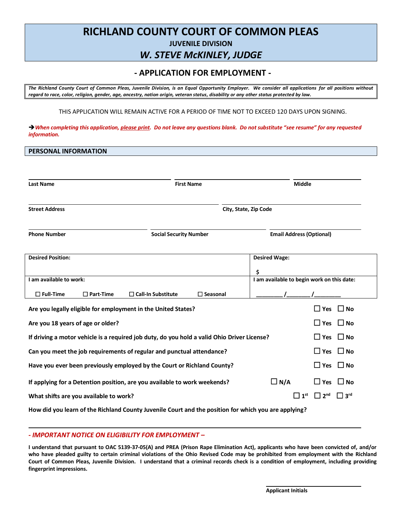# **RICHLAND COUNTY COURT OF COMMON PLEAS JUVENILE DIVISION**

## *W. STEVE McKINLEY, JUDGE*

## **- APPLICATION FOR EMPLOYMENT -**

*The Richland County Court of Common Pleas, Juvenile Division, is an Equal Opportunity Employer. We consider all applications for all positions without regard to race, color, religion, gender, age, ancestry, nation origin, veteran status, disability or any other status protected by law.*

THIS APPLICATION WILL REMAIN ACTIVE FOR A PERIOD OF TIME NOT TO EXCEED 120 DAYS UPON SIGNING.

*When completing this application, please print. Do not leave any questions blank. Do not substitute "see resume" for any requested information.*

**PERSONAL INFORMATION**

| <b>Last Name</b>                                                                              |                     | <b>First Name</b>                                                                                    |                                 | <b>Middle</b>                                    |                        |                        |
|-----------------------------------------------------------------------------------------------|---------------------|------------------------------------------------------------------------------------------------------|---------------------------------|--------------------------------------------------|------------------------|------------------------|
| <b>Street Address</b>                                                                         |                     |                                                                                                      | City, State, Zip Code           |                                                  |                        |                        |
| <b>Phone Number</b>                                                                           |                     | <b>Social Security Number</b>                                                                        | <b>Email Address (Optional)</b> |                                                  |                        |                        |
| <b>Desired Position:</b>                                                                      |                     |                                                                                                      |                                 | <b>Desired Wage:</b>                             |                        |                        |
| I am available to work:                                                                       |                     |                                                                                                      |                                 | \$<br>I am available to begin work on this date: |                        |                        |
| $\Box$ Full-Time                                                                              | $\square$ Part-Time | $\Box$ Call-In Substitute<br>$\square$ Seasonal                                                      |                                 |                                                  |                        |                        |
|                                                                                               |                     | Are you legally eligible for employment in the United States?                                        |                                 |                                                  | $\Box$ Yes             | $\square$ No           |
| Are you 18 years of age or older?                                                             |                     |                                                                                                      |                                 |                                                  | $\Box$ Yes             | $\square$ No           |
| If driving a motor vehicle is a required job duty, do you hold a valid Ohio Driver License?   |                     |                                                                                                      |                                 |                                                  | $\Box$ Yes $\Box$ No   |                        |
| $\Box$ Yes $\Box$ No<br>Can you meet the job requirements of regular and punctual attendance? |                     |                                                                                                      |                                 |                                                  |                        |                        |
| Have you ever been previously employed by the Court or Richland County?                       |                     |                                                                                                      |                                 |                                                  | $\Box$ Yes $\Box$ No   |                        |
| If applying for a Detention position, are you available to work weekends?                     |                     |                                                                                                      |                                 | $\Box$ N/A                                       | $\Box$ Yes             | $\square$ No           |
| What shifts are you available to work?                                                        |                     |                                                                                                      |                                 | $\square$ 1st                                    | $\Box$ 2 <sup>nd</sup> | $\Box$ 3 <sup>rd</sup> |
|                                                                                               |                     | How did you learn of the Richland County Juvenile Court and the position for which you are applying? |                                 |                                                  |                        |                        |

### *- IMPORTANT NOTICE ON ELIGIBILITY FOR EMPLOYMENT –*

**I understand that pursuant to OAC 5139-37-05(A) and PREA (Prison Rape Elimination Act), applicants who have been convicted of, and/or who have pleaded guilty to certain criminal violations of the Ohio Revised Code may be prohibited from employment with the Richland Court of Common Pleas, Juvenile Division. I understand that a criminal records check is a condition of employment, including providing fingerprint impressions.**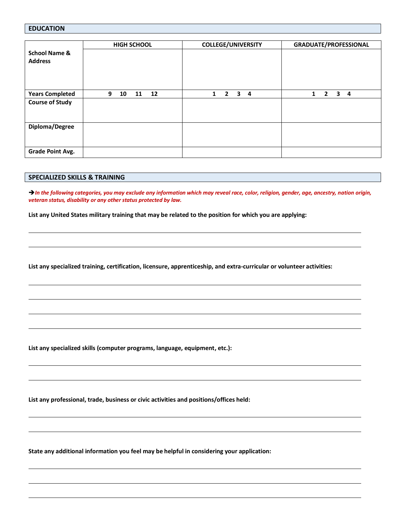## **EDUCATION**

|                                            | <b>HIGH SCHOOL</b>  | <b>COLLEGE/UNIVERSITY</b>                                      | <b>GRADUATE/PROFESSIONAL</b>            |
|--------------------------------------------|---------------------|----------------------------------------------------------------|-----------------------------------------|
| <b>School Name &amp;</b><br><b>Address</b> |                     |                                                                |                                         |
| <b>Years Completed</b>                     | 9<br>10<br>11<br>12 | $\overline{\mathbf{3}}$<br>$\overline{2}$<br>$\mathbf{1}$<br>4 | $\mathbf{2}$<br>3<br>$\mathbf{1}$<br>-4 |
| <b>Course of Study</b>                     |                     |                                                                |                                         |
| Diploma/Degree                             |                     |                                                                |                                         |
| <b>Grade Point Avg.</b>                    |                     |                                                                |                                         |

## **SPECIALIZED SKILLS & TRAINING**

→ In the following categories, you may exclude any information which may reveal race, color, religion, gender, age, ancestry, nation origin, *veteran status, disability or any other status protected by law.*

**List any United States military training that may be related to the position for which you are applying:**

**List any specialized training, certification, licensure, apprenticeship, and extra-curricular or volunteer activities:**

**List any specialized skills (computer programs, language, equipment, etc.):**

**List any professional, trade, business or civic activities and positions/offices held:**

**State any additional information you feel may be helpful in considering your application:**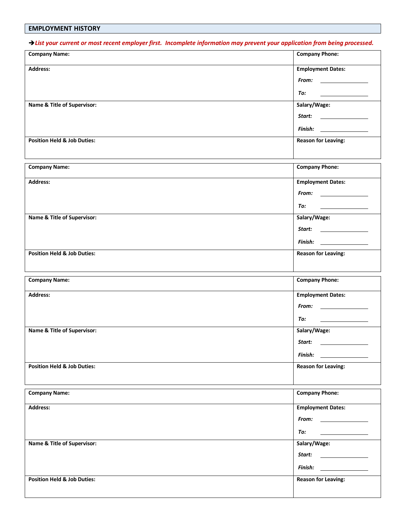## **EMPLOYMENT HISTORY**

*List your current or most recent employer first. Incomplete information may prevent your application from being processed.*

| <b>Company Name:</b>                   | <b>Company Phone:</b>                            |
|----------------------------------------|--------------------------------------------------|
| Address:                               | <b>Employment Dates:</b>                         |
|                                        |                                                  |
|                                        | To:<br><u> 1980 - Johann Barbara, martxa a</u>   |
| Name & Title of Supervisor:            | Salary/Wage:                                     |
|                                        |                                                  |
|                                        | $\n  Finish:\n$                                  |
| <b>Position Held &amp; Job Duties:</b> | <b>Reason for Leaving:</b>                       |
|                                        |                                                  |
| <b>Company Name:</b>                   | <b>Company Phone:</b>                            |
| Address:                               | <b>Employment Dates:</b>                         |
|                                        |                                                  |
|                                        | To:<br><u> 1989 - Jan Store, Amerikaansk kon</u> |
| Name & Title of Supervisor:            | Salary/Wage:                                     |
|                                        |                                                  |
|                                        |                                                  |
| <b>Position Held &amp; Job Duties:</b> | <b>Reason for Leaving:</b>                       |
|                                        |                                                  |
|                                        |                                                  |
|                                        |                                                  |
| <b>Company Name:</b>                   | <b>Company Phone:</b>                            |
| Address:                               | <b>Employment Dates:</b>                         |
|                                        |                                                  |
|                                        | To:                                              |
| Name & Title of Supervisor:            | Salary/Wage:                                     |
|                                        | Start:                                           |
|                                        | $\n  Finish:\n$                                  |
| <b>Position Held &amp; Job Duties:</b> | <b>Reason for Leaving:</b>                       |
|                                        |                                                  |
| <b>Company Name:</b>                   | <b>Company Phone:</b>                            |
| Address:                               | <b>Employment Dates:</b>                         |
|                                        |                                                  |
|                                        | To:                                              |
|                                        | <u> Electronic Communication</u>                 |
| Name & Title of Supervisor:            | Salary/Wage:                                     |
|                                        | Start: ________________                          |
|                                        | $\n  Finish:\n$                                  |
| <b>Position Held &amp; Job Duties:</b> | <b>Reason for Leaving:</b>                       |